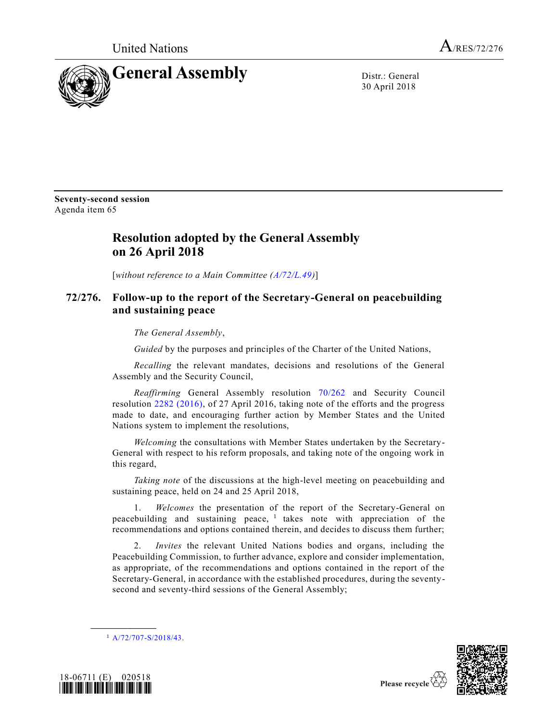United Nations  $A_{/RES/72/276}$ 



30 April 2018

**Seventy-second session** Agenda item 65

## **Resolution adopted by the General Assembly on 26 April 2018**

[*without reference to a Main Committee [\(A/72/L.49\)](https://undocs.org/A/72/L.49)*]

## **72/276. Follow-up to the report of the Secretary-General on peacebuilding and sustaining peace**

*The General Assembly*,

*Guided* by the purposes and principles of the Charter of the United Nations,

*Recalling* the relevant mandates, decisions and resolutions of the General Assembly and the Security Council,

*Reaffirming* General Assembly resolution [70/262](https://undocs.org/A/RES/70/262) and Security Council resolution [2282 \(2016\),](https://undocs.org/S/RES/2282(2016)) of 27 April 2016, taking note of the efforts and the progress made to date, and encouraging further action by Member States and the United Nations system to implement the resolutions,

*Welcoming* the consultations with Member States undertaken by the Secretary-General with respect to his reform proposals, and taking note of the ongoing work in this regard,

*Taking note* of the discussions at the high-level meeting on peacebuilding and sustaining peace, held on 24 and 25 April 2018,

1. *Welcomes* the presentation of the report of the Secretary-General on peacebuilding and sustaining peace, <sup>1</sup> takes note with appreciation of the recommendations and options contained therein, and decides to discuss them further;

2. *Invites* the relevant United Nations bodies and organs, including the Peacebuilding Commission, to further advance, explore and consider implementation, as appropriate, of the recommendations and options contained in the report of the Secretary-General, in accordance with the established procedures, during the seventysecond and seventy-third sessions of the General Assembly;



**\_\_\_\_\_\_\_\_\_\_\_\_\_\_\_\_\_\_**



 $1 \text{ A}/72/707 - S/2018/43$ .